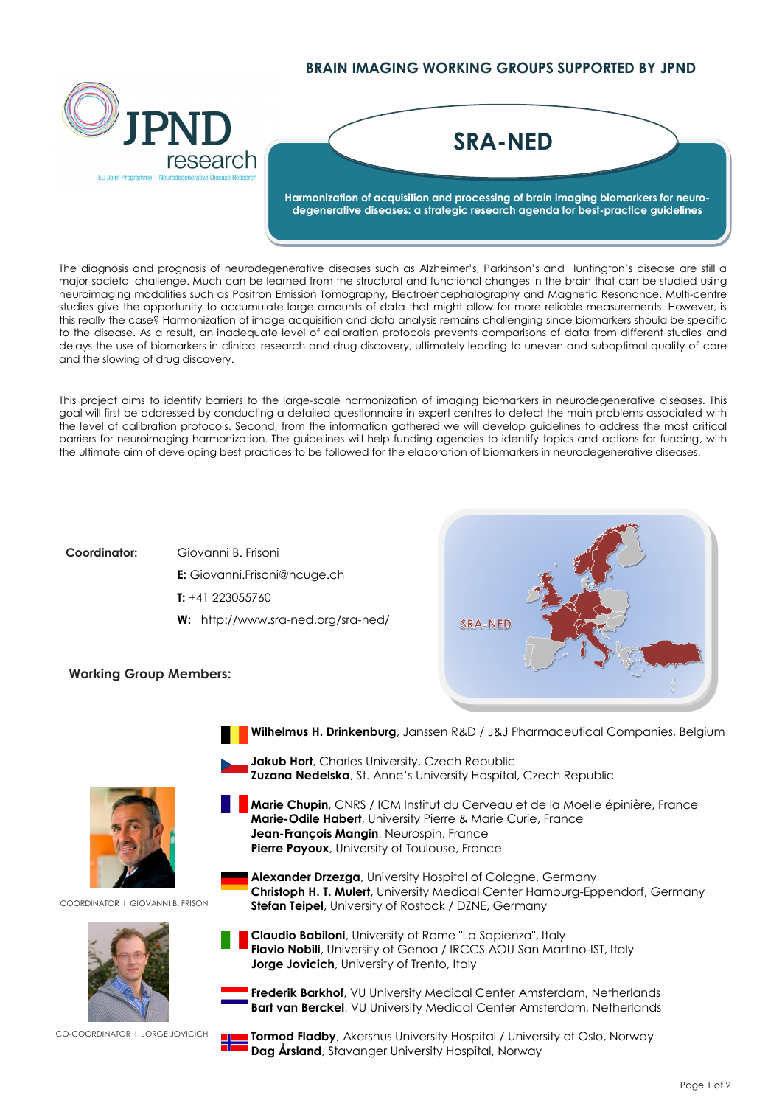## **BRAIN IMAGING WORKING GROUPS SUPPORTED BY JPND**



## **Harmonization of acquisition and processing of brain imaging biomarkers for neurodegenerative diseases: a strategic research agenda for best-practice guidelines SRA-NED**

The diagnosis and prognosis of neurodegenerative diseases such as Alzheimer's, Parkinson's and Huntington's disease are still a major societal challenge. Much can be learned from the structural and functional changes in the brain that can be studied using neuroimaging modalities such as Positron Emission Tomography, Electroencephalography and Magnetic Resonance. Multi-centre studies give the opportunity to accumulate large amounts of data that might allow for more reliable measurements. However, is this really the case? Harmonization of image acquisition and data analysis remains challenging since biomarkers should be specific to the disease. As a result, an inadequate level of calibration protocols prevents comparisons of data from different studies and delays the use of biomarkers in clinical research and drug discovery, ultimately leading to uneven and suboptimal quality of care and the slowing of drug discovery.

This project aims to identify barriers to the large-scale harmonization of imaging biomarkers in neurodegenerative diseases. This goal will first be addressed by conducting a detailed questionnaire in expert centres to detect the main problems associated with the level of calibration protocols. Second, from the information gathered we will develop guidelines to address the most critical barriers for neuroimaging harmonization. The guidelines will help funding agencies to identify topics and actions for funding, with the ultimate aim of developing best practices to be followed for the elaboration of biomarkers in neurodegenerative diseases.

## **Coordinator:** Giovanni B. Frisoni

**E:** Giovanni.Frisoni@hcuge.ch **T:** +41 223055760 **W:** <http://www.sra-ned.org/sra-ned/>



## **Working Group Members:**



COORDINATOR I GIOVANNI B. FRISONI



CO-COORDINATOR I JORGE JOVICICH

**Wilhelmus H. Drinkenburg**, Janssen R&D / J&J Pharmaceutical Companies, Belgium

- **Jakub Hort**, Charles University, Czech Republic **Zuzana Nedelska**, St. Anne's University Hospital, Czech Republic
- **Marie Chupin**, CNRS / ICM Institut du Cerveau et de la Moelle épinière, France **Marie-Odile Habert**, University Pierre & Marie Curie, France **Jean-François Mangin**, Neurospin, France **Pierre Payoux**, University of Toulouse, France
	- **Alexander Drzezga**, University Hospital of Cologne, Germany **Christoph H. T. Mulert**, University Medical Center Hamburg-Eppendorf, Germany **Stefan Teipel**, University of Rostock / DZNE, Germany

**Claudio Babiloni**, University of Rome "La Sapienza", Italy

**Jorge Jovicich**, University of Trento, Italy



**Flavio Nobili**, University of Genoa / IRCCS AOU San Martino-IST, Italy

**Tormod Fladby**, Akershus University Hospital / University of Oslo, Norway **Dag Årsland**, Stavanger University Hospital, Norway